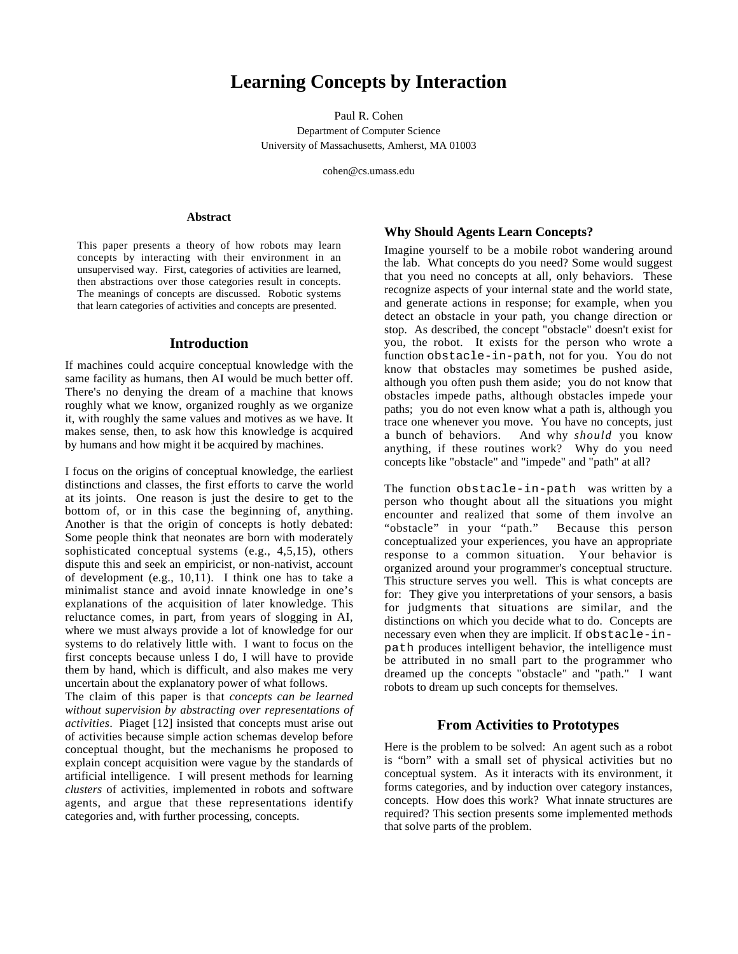# **Learning Concepts by Interaction**

Paul R. Cohen Department of Computer Science University of Massachusetts, Amherst, MA 01003

cohen@cs.umass.edu

#### **Abstract**

This paper presents a theory of how robots may learn concepts by interacting with their environment in an unsupervised way. First, categories of activities are learned, then abstractions over those categories result in concepts. The meanings of concepts are discussed. Robotic systems that learn categories of activities and concepts are presented.

#### **Introduction**

If machines could acquire conceptual knowledge with the same facility as humans, then AI would be much better off. There's no denying the dream of a machine that knows roughly what we know, organized roughly as we organize it, with roughly the same values and motives as we have. It makes sense, then, to ask how this knowledge is acquired by humans and how might it be acquired by machines.

I focus on the origins of conceptual knowledge, the earliest distinctions and classes, the first efforts to carve the world at its joints. One reason is just the desire to get to the bottom of, or in this case the beginning of, anything. Another is that the origin of concepts is hotly debated: Some people think that neonates are born with moderately sophisticated conceptual systems (e.g., 4,5,15), others dispute this and seek an empiricist, or non-nativist, account of development (e.g.,  $10,11$ ). I think one has to take a minimalist stance and avoid innate knowledge in one's explanations of the acquisition of later knowledge. This reluctance comes, in part, from years of slogging in AI, where we must always provide a lot of knowledge for our systems to do relatively little with. I want to focus on the first concepts because unless I do, I will have to provide them by hand, which is difficult, and also makes me very uncertain about the explanatory power of what follows.

The claim of this paper is that *concepts can be learned without supervision by abstracting over representations of activities*. Piaget [12] insisted that concepts must arise out of activities because simple action schemas develop before conceptual thought, but the mechanisms he proposed to explain concept acquisition were vague by the standards of artificial intelligence. I will present methods for learning *clusters* of activities, implemented in robots and software agents, and argue that these representations identify categories and, with further processing, concepts.

#### **Why Should Agents Learn Concepts?**

Imagine yourself to be a mobile robot wandering around the lab. What concepts do you need? Some would suggest that you need no concepts at all, only behaviors. These recognize aspects of your internal state and the world state, and generate actions in response; for example, when you detect an obstacle in your path, you change direction or stop. As described, the concept "obstacle" doesn't exist for you, the robot. It exists for the person who wrote a function obstacle-in-path, not for you. You do not know that obstacles may sometimes be pushed aside, although you often push them aside; you do not know that obstacles impede paths, although obstacles impede your paths; you do not even know what a path is, although you trace one whenever you move. You have no concepts, just a bunch of behaviors. And why *should* you know anything, if these routines work? Why do you need concepts like "obstacle" and "impede" and "path" at all?

The function obstacle-in-path was written by a person who thought about all the situations you might encounter and realized that some of them involve an "obstacle" in your "path." Because this person conceptualized your experiences, you have an appropriate response to a common situation. Your behavior is organized around your programmer's conceptual structure. This structure serves you well. This is what concepts are for: They give you interpretations of your sensors, a basis for judgments that situations are similar, and the distinctions on which you decide what to do. Concepts are necessary even when they are implicit. If obstacle-inpath produces intelligent behavior, the intelligence must be attributed in no small part to the programmer who dreamed up the concepts "obstacle" and "path." I want robots to dream up such concepts for themselves.

## **From Activities to Prototypes**

Here is the problem to be solved: An agent such as a robot is "born" with a small set of physical activities but no conceptual system. As it interacts with its environment, it forms categories, and by induction over category instances, concepts. How does this work? What innate structures are required? This section presents some implemented methods that solve parts of the problem.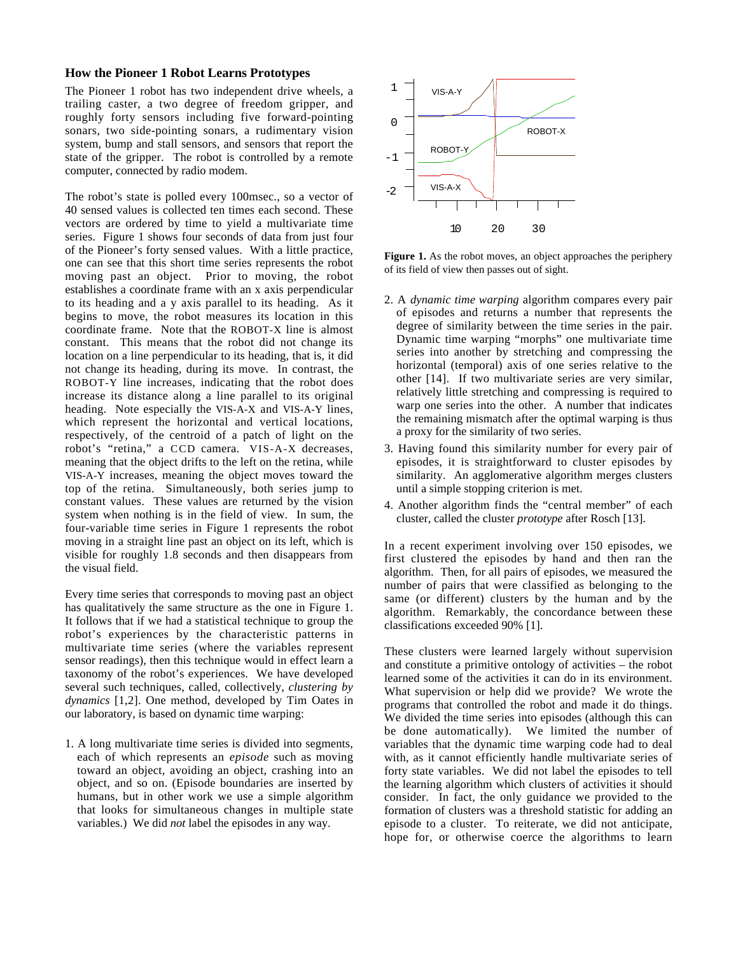## **How the Pioneer 1 Robot Learns Prototypes**

The Pioneer 1 robot has two independent drive wheels, a trailing caster, a two degree of freedom gripper, and roughly forty sensors including five forward-pointing sonars, two side-pointing sonars, a rudimentary vision system, bump and stall sensors, and sensors that report the state of the gripper. The robot is controlled by a remote computer, connected by radio modem.

The robot's state is polled every 100msec., so a vector of 40 sensed values is collected ten times each second. These vectors are ordered by time to yield a multivariate time series. Figure 1 shows four seconds of data from just four of the Pioneer's forty sensed values. With a little practice, one can see that this short time series represents the robot moving past an object. Prior to moving, the robot establishes a coordinate frame with an x axis perpendicular to its heading and a y axis parallel to its heading. As it begins to move, the robot measures its location in this coordinate frame. Note that the ROBOT-X line is almost constant. This means that the robot did not change its location on a line perpendicular to its heading, that is, it did not change its heading, during its move. In contrast, the ROBOT-Y line increases, indicating that the robot does increase its distance along a line parallel to its original heading. Note especially the VIS-A-X and VIS-A-Y lines, which represent the horizontal and vertical locations, respectively, of the centroid of a patch of light on the robot's "retina," a CCD camera. VIS-A-X decreases, meaning that the object drifts to the left on the retina, while VIS-A-Y increases, meaning the object moves toward the top of the retina. Simultaneously, both series jump to constant values. These values are returned by the vision system when nothing is in the field of view. In sum, the four-variable time series in Figure 1 represents the robot moving in a straight line past an object on its left, which is visible for roughly 1.8 seconds and then disappears from the visual field.

Every time series that corresponds to moving past an object has qualitatively the same structure as the one in Figure 1. It follows that if we had a statistical technique to group the robot's experiences by the characteristic patterns in multivariate time series (where the variables represent sensor readings), then this technique would in effect learn a taxonomy of the robot's experiences. We have developed several such techniques, called, collectively, *clustering by dynamics* [1,2]. One method, developed by Tim Oates in our laboratory, is based on dynamic time warping:

1. A long multivariate time series is divided into segments, each of which represents an *episode* such as moving toward an object, avoiding an object, crashing into an object, and so on. (Episode boundaries are inserted by humans, but in other work we use a simple algorithm that looks for simultaneous changes in multiple state variables.) We did *not* label the episodes in any way.



**Figure 1.** As the robot moves, an object approaches the periphery of its field of view then passes out of sight.

- 2. A *dynamic time warping* algorithm compares every pair of episodes and returns a number that represents the degree of similarity between the time series in the pair. Dynamic time warping "morphs" one multivariate time series into another by stretching and compressing the horizontal (temporal) axis of one series relative to the other [14]. If two multivariate series are very similar, relatively little stretching and compressing is required to warp one series into the other. A number that indicates the remaining mismatch after the optimal warping is thus a proxy for the similarity of two series.
- 3. Having found this similarity number for every pair of episodes, it is straightforward to cluster episodes by similarity. An agglomerative algorithm merges clusters until a simple stopping criterion is met.
- 4. Another algorithm finds the "central member" of each cluster, called the cluster *prototype* after Rosch [13].

In a recent experiment involving over 150 episodes, we first clustered the episodes by hand and then ran the algorithm. Then, for all pairs of episodes, we measured the number of pairs that were classified as belonging to the same (or different) clusters by the human and by the algorithm. Remarkably, the concordance between these classifications exceeded 90% [1].

These clusters were learned largely without supervision and constitute a primitive ontology of activities – the robot learned some of the activities it can do in its environment. What supervision or help did we provide? We wrote the programs that controlled the robot and made it do things. We divided the time series into episodes (although this can be done automatically). We limited the number of variables that the dynamic time warping code had to deal with, as it cannot efficiently handle multivariate series of forty state variables. We did not label the episodes to tell the learning algorithm which clusters of activities it should consider. In fact, the only guidance we provided to the formation of clusters was a threshold statistic for adding an episode to a cluster. To reiterate, we did not anticipate, hope for, or otherwise coerce the algorithms to learn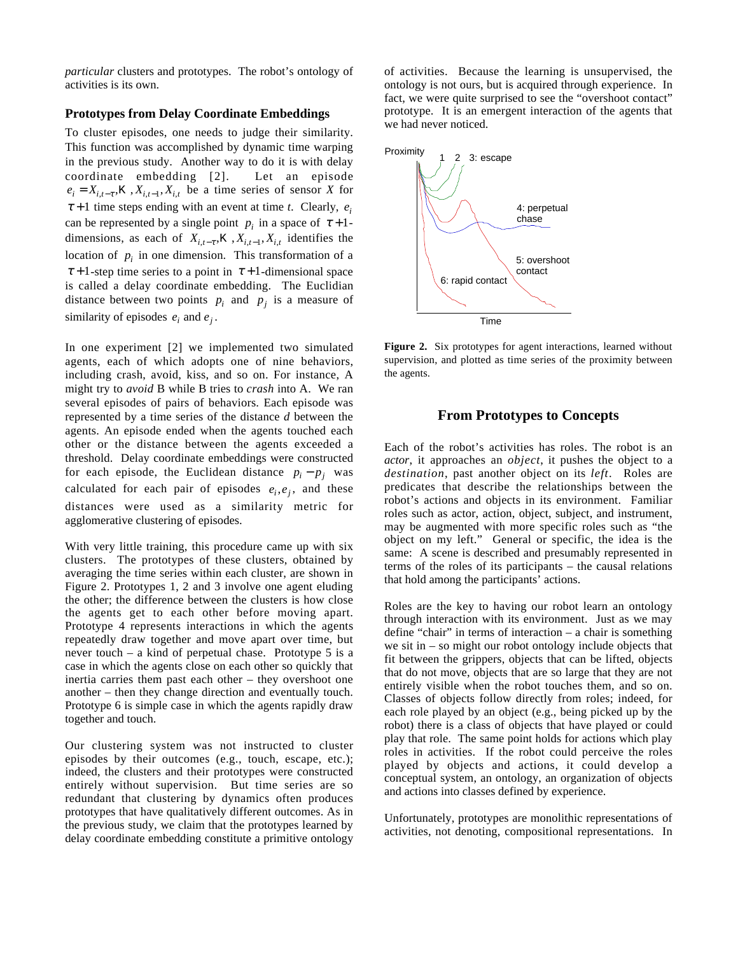*particular* clusters and prototypes. The robot's ontology of activities is its own.

#### **Prototypes from Delay Coordinate Embeddings**

To cluster episodes, one needs to judge their similarity. This function was accomplished by dynamic time warping in the previous study. Another way to do it is with delay coordinate embedding [2]. Let an episode  $e_i = X_{i,t-\tau}$ , *K*,  $X_{i,t-1}$ ,  $X_{i,t}$  be a time series of sensor *X* for  $\tau + 1$  time steps ending with an event at time *t*. Clearly, *e*<sub>*i*</sub> can be represented by a single point  $p_i$  in a space of  $\tau + 1$ dimensions, as each of  $X_{i,t-\tau}$ ,  $X$ ,  $X_{i,t-1}$ ,  $X_{i,t}$  identifies the location of  $p_i$  in one dimension. This transformation of a  $\tau$ +1-step time series to a point in  $\tau$ +1-dimensional space is called a delay coordinate embedding. The Euclidian distance between two points  $p_i$  and  $p_j$  is a measure of similarity of episodes  $e_i$  and  $e_j$ .

In one experiment [2] we implemented two simulated agents, each of which adopts one of nine behaviors, including crash, avoid, kiss, and so on. For instance, A might try to *avoid* B while B tries to *crash* into A. We ran several episodes of pairs of behaviors. Each episode was represented by a time series of the distance *d* between the agents. An episode ended when the agents touched each other or the distance between the agents exceeded a threshold. Delay coordinate embeddings were constructed for each episode, the Euclidean distance  $p_i - p_j$  was calculated for each pair of episodes  $e_i, e_j$ , and these distances were used as a similarity metric for agglomerative clustering of episodes.

With very little training, this procedure came up with six clusters. The prototypes of these clusters, obtained by averaging the time series within each cluster, are shown in Figure 2. Prototypes 1, 2 and 3 involve one agent eluding the other; the difference between the clusters is how close the agents get to each other before moving apart. Prototype 4 represents interactions in which the agents repeatedly draw together and move apart over time, but never touch – a kind of perpetual chase. Prototype 5 is a case in which the agents close on each other so quickly that inertia carries them past each other – they overshoot one another – then they change direction and eventually touch. Prototype 6 is simple case in which the agents rapidly draw together and touch.

Our clustering system was not instructed to cluster episodes by their outcomes (e.g., touch, escape, etc.); indeed, the clusters and their prototypes were constructed entirely without supervision. But time series are so redundant that clustering by dynamics often produces prototypes that have qualitatively different outcomes. As in the previous study, we claim that the prototypes learned by delay coordinate embedding constitute a primitive ontology of activities. Because the learning is unsupervised, the ontology is not ours, but is acquired through experience. In fact, we were quite surprised to see the "overshoot contact" prototype. It is an emergent interaction of the agents that we had never noticed.



**Figure 2.** Six prototypes for agent interactions, learned without supervision, and plotted as time series of the proximity between the agents.

## **From Prototypes to Concepts**

Each of the robot's activities has roles. The robot is an *actor*, it approaches an *object*, it pushes the object to a *destination*, past another object on its *left*. Roles are predicates that describe the relationships between the robot's actions and objects in its environment. Familiar roles such as actor, action, object, subject, and instrument, may be augmented with more specific roles such as "the object on my left." General or specific, the idea is the same: A scene is described and presumably represented in terms of the roles of its participants – the causal relations that hold among the participants' actions.

Roles are the key to having our robot learn an ontology through interaction with its environment. Just as we may define "chair" in terms of interaction – a chair is something we sit in – so might our robot ontology include objects that fit between the grippers, objects that can be lifted, objects that do not move, objects that are so large that they are not entirely visible when the robot touches them, and so on. Classes of objects follow directly from roles; indeed, for each role played by an object (e.g., being picked up by the robot) there is a class of objects that have played or could play that role. The same point holds for actions which play roles in activities. If the robot could perceive the roles played by objects and actions, it could develop a conceptual system, an ontology, an organization of objects and actions into classes defined by experience.

Unfortunately, prototypes are monolithic representations of activities, not denoting, compositional representations. In